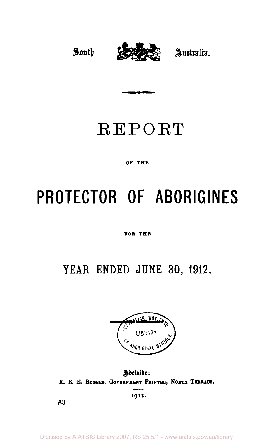

## REPORT

#### **OF THE**

# **PROTECTOR OF ABORIGINES**

#### **FOB THB**

## **YEAR ENDED JUNE 30, 1912.**



Adelaide: **R. E. E. ROGERS, GOVERNMENT PRINTER, NORTH TERRACE.** 

**1912.** 

**A3**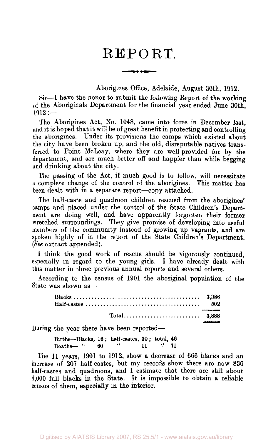### REPORT.

<u>wang ang pagpa</u>

Aborigines Office, Adelaide, August 30th, 1912.

Sir—I have the honor to submit the following Report of the working of the Aboriginals Department for the financial year ended June 30th,  $1912 :=$ 

The Aborigines Act, No. 1048, came into force in December last, and it is hoped that it will be of great benefit in protecting and controlling the aborigines. Under its provisions the camps which existed about the city have been broken up, and the old, disreputable natives transferred to Point McLeay, where they are well-provided for by the department, and are much better off and happier than while begging and drinking about the city.

The passing of the Act, if much good is to follow, will necessitate a complete change of the control of the aborigines. This matter has been dealt with in a separate report—copy attached.

The half-caste and quadroon children rescued from the aborigines' camps and placed under the control of the State Children's Department are doing well, and have apparently forgotten their former wretched surroundings. They give promise of developing into useful members of the community instead of growing up vagrants, and are spoken highly of in the report of the State Children's Department. *(See* extract appended).

1 think the good work of rescue should be vigorously continued, especially in regard to the young girls. I have already dealt with this matter in three previous annual reports and several others.

According to the census of 1901 the aboriginal population of the State was shown as—

During the year there have been reported—

|          |    | Births--Blacks, 16; half-castes, 30; total, 46 |    |        |  |
|----------|----|------------------------------------------------|----|--------|--|
| Deaths—" | 60 |                                                | 11 | - * 71 |  |

The 11 years, 1901 to 1912, show a decrease of 666 blacks and an increase of 207 half-castes, but my records show there are now 836 half-castes and quadroons, and I estimate that there are still about 4,000 full blacks in the State. It is impossible to obtain a reliable census of them, especially in the interior.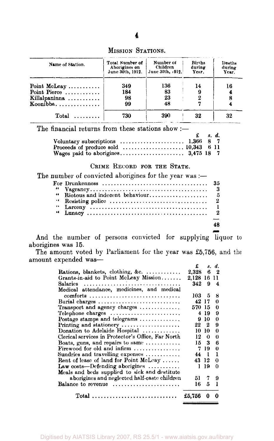| Name of Station.               | Total Number of<br>Aborigines on<br>June 30th, 1912. | Number of<br>Children<br>June 30th, 1912. | <b>Births</b><br>during<br>Year. | Deaths<br>during<br>Year. |
|--------------------------------|------------------------------------------------------|-------------------------------------------|----------------------------------|---------------------------|
| Point McLeay $\dots\dots\dots$ | 349                                                  | 136                                       | 14                               | 16                        |
| Point Pierce                   | 184                                                  | 83                                        |                                  |                           |
| Killalpaninna                  | 98                                                   | 23                                        |                                  |                           |
| Koonibba                       | 99                                                   | 48                                        |                                  |                           |
| $Total \dots \dots$            | 730                                                  | 390                                       | 32                               | 32                        |

MISSION STATIONS.

The financial returns from these stations show :—

|                                                                               | $\mathbf{f}$ s.d. |  |
|-------------------------------------------------------------------------------|-------------------|--|
| Voluntary subscriptions $\ldots \ldots \ldots \ldots \ldots \ldots$ 1,366 8 7 |                   |  |
|                                                                               |                   |  |
|                                                                               |                   |  |

#### CRIME RECORD FOR THE STATE.

*d.* 

| 66 |    |
|----|----|
|    |    |
|    |    |
|    |    |
|    |    |
|    |    |
|    | 48 |
|    |    |

And the number of persons convicted for supplying liquor to aborigines was 15.

The amount voted by Parliament for the year was £5,756, and the amount expended was—

|                                                                          | £                    |      | s. d.  |
|--------------------------------------------------------------------------|----------------------|------|--------|
| Rations, blankets, clothing, &c. $\ldots$                                | $\boldsymbol{2.328}$ | 6    | - 2    |
| Grants-in-aid to Point McLeay Mission                                    | 2,128 16             |      | -11    |
|                                                                          | 342                  | 9    | 4      |
| Medical attendance, medicines, and medical                               |                      |      |        |
| comforts                                                                 | 103 5                |      | 8      |
| Burial charges $\ldots \ldots \ldots \ldots \ldots \ldots \ldots \ldots$ | 42 17                |      | 0      |
| Transport and agency charges                                             | 570 15               |      | 0      |
| Telephone charges $\ldots \ldots \ldots \ldots \ldots \ldots \ldots$     |                      | 419  | 9      |
| Postage stamps and telegrams                                             |                      | 9 10 | 0      |
| Printing and stationery $\ldots \ldots \ldots \ldots \ldots$             | 22 2                 |      | 9      |
| Donation to Adelaide Hospital                                            | 10.                  | -10  | 0      |
| Clerical services in Protector's Office, Far North                       | 12                   | 0    | 0      |
| Boats, guns, and repairs to same $\dots\dots\dots\dots$                  |                      | 153  | 6      |
| Firewood for old and infirm $\ldots$                                     |                      | 719  | $_{0}$ |
| Sundries and travelling expenses $\ldots$                                | 44 1                 |      | 1      |
| Rent of lease of land for Point McLeay                                   | 43 12                |      | 0      |
| Law costs—Defending aborigines $\ldots \ldots \ldots$                    | 1                    | 19   | 0      |
| Meals and beds supplied to sick and destitute                            |                      |      |        |
| aborigines and neglected half-caste children                             | 51                   | 7    | Ω      |
| Balance to revenue $\dots\dots\dots\dots\dots\dots\dots$                 | 16                   | 5    | ı      |
| $Total$                                                                  | £5.756               | 0    | 0      |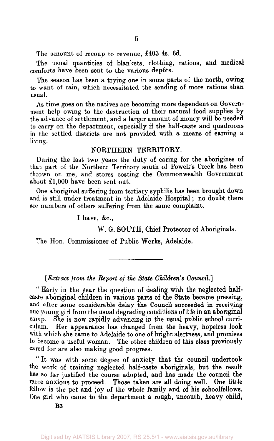The amount of recoup to revenue, £403 4s. 6d.

The usual quantities of blankets, clothing, rations, and medical comforts have been sent to the various depots.

The season has been a trying one in some parts of the north, owing to want of rain, which necessitated the sending of more rations than usual.

As time goes on the natives are becoming more dependent on Government help owing to the destruction of their natural food supplies by the advance of settlement, and a larger amount of money will be needed to carry on the department, especially if the half-caste and quadroons in the settled districts are not provided with a means of earning a living.

#### NORTHERN TERRITORY.

During the last two years the duty of caring for the aborigines of that part of the Northern Territory south of Powell's Creek has been thrown on me, and stores costing the Commonwealth Government about £1,000 have been sent out.

One aboriginal suffering from tertiary syphilis has been brought down and is still under treatment in the Adelaide Hospital; no doubt there are numbers of others suffering from the same complaint.

I have, &c,

W. G. SOUTH, Chief Protector of Aboriginals.

The Hon. Commissioner of Public Works, Adelaide.

*[Extract from the Report of the State Children's Council.']* 

" Early in the year the question of dealing with the neglected halfcaste aboriginal children in various parts of the State became pressing, and after some considerable delay the Council succeeded in receiving one young girl from the usual degrading conditions of life in an aboriginal camp. She is now rapidly advancing in the usual public school curriculum. Her appearance has changed from the heavy, hopeless look with which she came to Adelaide to one of bright alertness, and promises to become a useful woman. The other children of this class previously cared for are also making good progress.

" It was with some degree of anxiety that the council undertook the work of training neglected half-caste aboriginals, but the result has so far justified the course adopted, and has made the council the more anxious to proceed. Those taken are all doing well. One little fellow is the pet and joy of the whole family and of his schoolfellows. One girl who came to the department a rough, uncouth, heavy child,

**B3**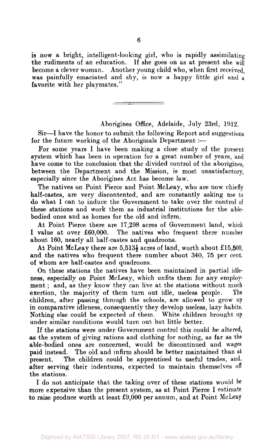is now a bright, intelligent-looking girl, who is rapidly assimilating the rudiments of an education. If she goes on as at present she will become a clever woman. Another young child who, when first received, was painfully emaciated and shy, is now a happy little girl and a favorite with her playmates."

Aborigines Office, Adelaide, July 23rd, 1912.

Sir—I have the honor to submit the following Report and suggestions for the future working of the Aboriginals Department :-

For some years I have been making a close study of the present system which has been in operation for a great number of years, and have come to the conclusion that the divided control of the aborigines, between the Department and the Mission, is most unsatisfactory, especially since the Aborigines Act has become law.

The natives on Point Pierce and Point McLeay, who are now chiefly half-castes, are very discontented, and are constantly asking me to do what I can to induce the Government to take over the control of these stations and work them as industrial institutions for the ablebodied ones and as homes for the old and infirm.

At Point Pierce there are 17,298 acres of Government land, which I value at over £60,000. The natives who frequent there number about 160, nearly all half-castes and quadroons.

At Point McLeay there are  $5.513\frac{1}{2}$  acres of land, worth about £15,500, and the natives who frequent there number about 340, 75 per cent. of whom are half-castes and quadroons.

On these stations the natives have been maintained in partial idleness, especially on Point McLeay, which unfits them for any employment ; and, as they know they can live at the stations without much exertion, the majority of them turn out idle, useless people. The children, after passing through the schools, are allowed to grow up in comparative idleness, consequently they develop useless, lazy habits. Nothing else could be expected of them. White children brought up under similar conditions would turn out but little better.

If the stations were under Government control this could be altered, as the system of giving rations and clothing for nothing, as far as the able-bodied ones are concerned, would be discontinued and wages paid instead. The old and infirm should be better maintained than at present. The children could be apprenticed to useful trades, and, after serving their indentures, expected to maintain themselves off the stations.

I do not anticipate that the taking over of these stations would be more expensive than the present system, as at Point Pierce I estimate to raise produce worth at least £9,000 per annum, and at Point McLeay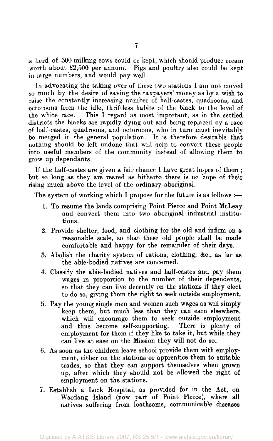a herd of 300 milking cows could be kept, which should produce cream worth about £2,500 per annum. Pigs and poultry also could be kept in large numbers, and would pay well.

In advocating the taking over of these two stations I am not moved so much by the desire of saving the taxpayers' money as by a wish to raise the constantly increasing number of half-castes, quadroons, and octoroons from the idle, thriftless habits of the black to the level of the white race. This I regard as most important, as in the settled districts the blacks are rapidly dying out and being replaced by a race of half-castes, quadroons, and octoroons, who in turn must inevitably be merged in the general population. It is therefore desirable that nothing should be left undone that will help to convert these people into useful members of the community instead of allowing them to grow up dependants.

If the half-castes are given a fair chance I have great hopes of them ; but so long as they are reared as hitherto there is no hope of their rising much above the level of the ordinary aboriginal.

The system of working which I propose for the future is as follows :—

- 1. To resume the lands comprising Point Pierce and Point McLeay and convert them into two aboriginal industrial institutions.
- 2. Provide shelter, food, and clothing for the old and infirm on a reasonable scale, so that these old people shall be made comfortable and happy for the remainder of their days.
- 3. Abolish the charity system of rations, clothing, &c., as far as the able-bodied natives are concerned.
- 4. Classify the able-bodied natives and half-castes and pay them wages in proportion to the number of their dependents, so that they can live decently on the stations if they elect to do so, giving them the right to seek outside employment.
- 5. Pay the young single men and women such wages as will simply keep them, but much less than they can earn elsewhere, which will encourage them to seek outside employment and thus become self-supporting. There is plenty of and thus become self-supporting. employment for them if they like to take it, but while they can live at ease on the Mission they will not do so.
- 6. As soon as the children leave school provide them with employment, either on the stations or apprentice them to suitable trades, so that they can support themselves when grown up, after which they should not be allowed the right of employment on the stations.
- 7. Establish a Lock Hospital, as provided for in the Act, on Wardang Island (now part of Point Pierce), where all natives suffering from loathsome, communicable diseases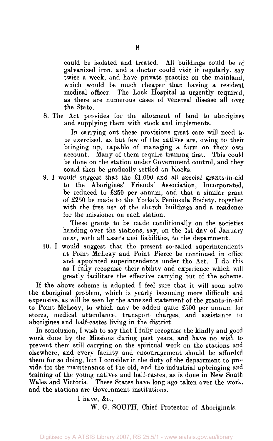could be isolated and treated. All buildings could be of galvanized iron, and a doctor could visit it regularly, say twice a week, and have private practice on the mainland, which would be much cheaper than having a resident medical officer. The Lock Hospital is urgently required, as there are numerous cases of venereal disease all over the State.

8. The Act provides for the allotment of land to aborigines and supplying them with stock and implements.

In carrying out these provisions great care will need to be exercised, as but few of the natives are, owing to their bringing up, capable of managing a farm on their own account. Many of them require training first. This could be done on the station under Government control, and they could then be gradually settled on blocks.

9. I would suggest that the  $\pounds1,000$  and all special grants-in-aid to the Aborigines' Friends' Association, Incorporated, be reduced to £250 per annum, and that a similar grant of £250 be made to the Yorke's Peninsula Society, together with the free use of the church buildings and a residence for the missioner on each station.

These grants to be made conditionally on the societies handing over the stations, say, on the 1st day of January next, with all assets and liabilities, to the department.

10. I would suggest that the present so-called superintendents at Point McLeay and Point Pierce be continued in office and appointed superintendents under the Act. I do this as I fully recognise their ability and experience which will greatly facilitate the effective carrying out of the scheme.

If the above scheme is adopted I feel sure that it will soon solve the aboriginal problem, which is yearly becoming more difficult and expensive, as will be seen by the annexed statement of the grants-in-aid to Point McLeay, to which may be added quite £500 per annum for stores, medical attendance, transport charges, and assistance to aborigines and half-castes living in the district.

In conclusion, I wish to say that I fully recognise the kindly and good work done by the Missions during past years, and have no wish to prevent them still carrying on the spiritual work on the stations and elsewhere, and every facility and encouragement should be afforded them for so doing, but I consider it the duty of the department to provide for the maintenance of the old, and the industrial upbringing and training of the young natives and half-castes, as is done in New South Wales and Victoria. These States have long ago taken over the work, and the stations are Government institutions.

> I have, &c, W. G. SOUTH, Chief Protector of Aboriginals.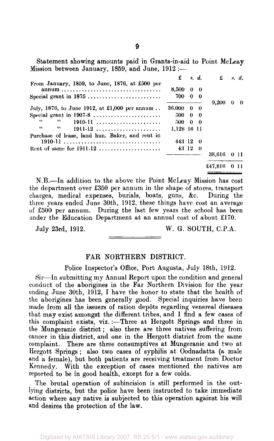Statement showing amounts paid in Grants-in-aid to Point McLeay Mission between January, 1859, and June, 1912 ;—

|                                                       |                         |         | $\mathbf{E}$ s.d. $\mathbf{E}$ s.d.                                                                                                                                                                                                |  |
|-------------------------------------------------------|-------------------------|---------|------------------------------------------------------------------------------------------------------------------------------------------------------------------------------------------------------------------------------------|--|
| From January, 1859, to June, 1876, at £500 per        | $8.500 \quad 0 \quad 0$ |         |                                                                                                                                                                                                                                    |  |
| Special grant in 1875                                 | 700 0 0                 |         |                                                                                                                                                                                                                                    |  |
| July, 1876, to June 1912, at £1,000 per annum         | 36,000 0 0              |         | $9.200 \quad 0 \quad 0$                                                                                                                                                                                                            |  |
|                                                       | 500 0 0                 |         |                                                                                                                                                                                                                                    |  |
| $66 - 1$<br>44.000<br>$1910-11$                       | 500 0 0                 |         |                                                                                                                                                                                                                                    |  |
| $\epsilon$<br>66<br>$1911-12$                         | 1,128 16 11             |         |                                                                                                                                                                                                                                    |  |
| Purchase of lease, land hun. Baker, and rent in       |                         |         |                                                                                                                                                                                                                                    |  |
|                                                       | 443 12 0                |         |                                                                                                                                                                                                                                    |  |
|                                                       |                         | 43 12 0 |                                                                                                                                                                                                                                    |  |
|                                                       |                         |         | 38,616 0 11                                                                                                                                                                                                                        |  |
|                                                       |                         |         | £47,816 0 11                                                                                                                                                                                                                       |  |
| $\mathcal{T}$ , and a set of the set of $\mathcal{T}$ |                         |         | $\bullet$ . The contract of the contract of the contract of the contract of the contract of the contract of the contract of the contract of the contract of the contract of the contract of the contract of the contract of the co |  |

N.B.—In addition to the above the Point McLeay Mission has cost the department over £350 per annum in the shape of stores, transport charges, medical expenses, burials, boats, guns, &c. During the three years ended June 30th, 1912, these things have cost an average of £500 per annum. During the last few years the school has been under the Education Department at an annual cost of about £170.

July 23rd, 1912. W. G. SOUTH, C.P.A.

#### FAR NORTHERN DISTRICT.

Police Inspector's Office, Port Augusta, July 18th, 1912.

Sir—In submitting my Annual Report upon the condition and general conduct of the aborigines in the Far Northern Division for the year ending June 30th, 1912, I have the honor to state that the health of the aborigines has been generally good. Special inquiries have been made from all the issuers of ration depots regarding venereal diseases that may exist amongst the different tribes, and I find a few cases of this complaint exists, viz. :- Three at Hergott Springs and three in the Mungeranie district; also there are three natives suffering from cancer in this district, and one in the Hergott district from the same complaint. There are three consumptives at Mungeranie and two at Hergott Springs ; also two cases of syphilis at Oodnadatta (a male and a female), but both patients are receiving treatment from Doctor Kennedy. With the exception of cases mentioned the natives are reported to be in good health, except for a few colds.

The brutal operation of subincision is still performed in the outlying districts, but the police have been instructed to take immediate action where any native is subjected to this operation against his will and desires the protection of the law.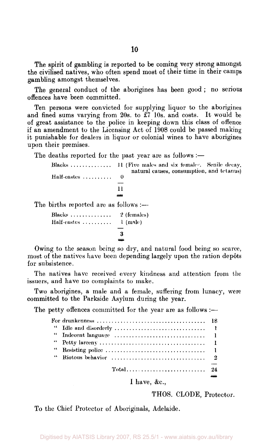The spirit of gambling is reported to be coming very strong amongst the civilised natives, who often spend most of their time in their camps gambling amongst themselves.

The general conduct of the aborigines has been good ; no serious offences have been committed.

Ten persons were convicted for supplying liquor to the aborigines and fined sums varying from 20s. to £7 10s. and costs. It would be of great assistance to the police in keeping down this class of offence if an amendment to the Licensing Act of 1908 could be passed making it punishable for dealers in liquor or colonial wines to have aborigines upon their premises.

The deaths reported for the past year are as follows :—

|                                       | Blacks  11 (Five males and six females, Senile decay,<br>natural causes, consumption, and tetanus) |
|---------------------------------------|----------------------------------------------------------------------------------------------------|
| Half-castes                           | $\theta$<br>11                                                                                     |
| The births reported are as follows :— |                                                                                                    |
| Blacks $2$ (females)<br>Half-castes   | $1$ (male)<br>З                                                                                    |
|                                       |                                                                                                    |

Owing to the season being so dry, and natural food being so scarce, most of the natives have been depending largely upon the ration depôts for subsistence.

The natives have received every kindness and attention from the issuers, and have no complaints to make.

Two aborigines, a male and a female, suffering from lunacy, were committed to the Parkside Asylum during the year.

The petty offences committed for the year are as follows :—

| $Total \ldots \ldots \ldots \ldots \ldots \ldots \ldots$ |  |
|----------------------------------------------------------|--|
|                                                          |  |

I have, &c,

THOS. CLODE, Protector.

To the Chief Protector of Aboriginals, Adelaide.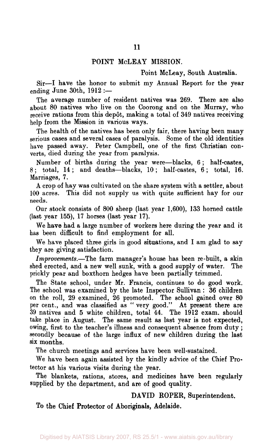#### **POINT** McLEAY MISSION.

Point McLeay, South Australia.

Sir—I have the honor to submit my Annual Report for the year ending June 30th, 1912 :—

The average number of resident natives was 269. There are also about 80 natives who live on the Coorong and on the Murray, who receive rations from this depôt, making a total of 349 natives receiving help from the Mission in various ways.

The health of the natives has been only fair, there having been many serious cases and several cases of paralysis. Some of the old identities have passed away. Peter Campbell, one of the first Christian converts, died during the year from paralysis.

Number of births during the year were—blacks, 6 ; half-castes, 8; total, 14; and deaths—blacks, 10 ; half-castes, 6 ; total, 16. Marriages, 7.

A crop of hay was cultivated on the share system with a settler, about 100 acres. This did not supply us with quite sufficient hay for our needs.

Our stock consists of 800 sheep (last year 1,600), 133 horned cattle (last year 155), 17 horses (last year 17).

We **have** had a large number of workers here during the year and it has been difficult to find employment for all.

We have placed three girls in good situations, and I am glad to say they are giving satisfaction.

*Improvements.*—The farm manager's house has been re-built, a skin shed erected, and a new well sunk, with a good supply of water. The prickly pear and boxthorn hedges have been partially trimmed.

The State school, under Mr. Francis, continues to do good work. The school was examined by the late Inspector Sullivan : 36 children on the roll, 29 examined, 26 promoted. The school gained over 80 per cent., and was classified as " very good." At present there are 39 natives and 5 white children, total 44. The 1912 exam, should take place in August. The same result as last year is not expected, owing, first to the teacher's illness and consequent absence from duty ; secondly because of the large influx of new children during the last six months.

The church meetings and services have been well-sustained.

We have been again assisted by the kindly advice of the Chief Protector at his various visits during the year.

The blankets, rations, stores, and medicines have been regularly supplied by the department, and are of good quality.

#### **DAVID ROPER, Superintendent.**

**To the Chief Protector of Aboriginals, Adelaide.**